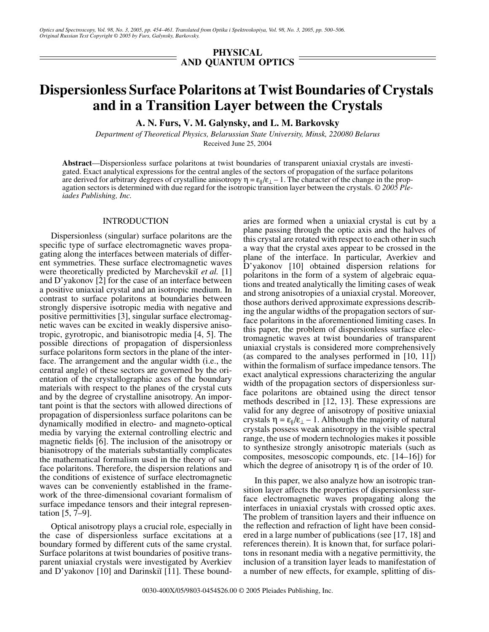*Optics and Spectroscopy, Vol. 98, No. 3, 2005, pp. 454–461. Translated from Optika i Spektroskopiya, Vol. 98, No. 3, 2005, pp. 500–506. Original Russian Text Copyright © 2005 by Furs, Galynsky, Barkovsky.*

## **PHYSICAL AND QUANTUM OPTICS**

# **Dispersionless Surface Polaritons at Twist Boundaries of Crystals and in a Transition Layer between the Crystals**

**A. N. Furs, V. M. Galynsky, and L. M. Barkovsky**

*Department of Theoretical Physics, Belarussian State University, Minsk, 220080 Belarus* Received June 25, 2004

**Abstract**—Dispersionless surface polaritons at twist boundaries of transparent uniaxial crystals are investigated. Exact analytical expressions for the central angles of the sectors of propagation of the surface polaritons are derived for arbitrary degrees of crystalline anisotropy  $\eta = \varepsilon_{\parallel}/\varepsilon_{\perp} - 1$ . The character of the change in the propagation sectors is determined with due regard for the isotropic transition layer between the crystals. *© 2005 Pleiades Publishing, Inc.*

#### INTRODUCTION

Dispersionless (singular) surface polaritons are the specific type of surface electromagnetic waves propagating along the interfaces between materials of different symmetries. These surface electromagnetic waves were theoretically predicted by Marchevskii et al. [1] and D'yakonov [2] for the case of an interface between a positive uniaxial crystal and an isotropic medium. In contrast to surface polaritons at boundaries between strongly dispersive isotropic media with negative and positive permittivities [3], singular surface electromagnetic waves can be excited in weakly dispersive anisotropic, gyrotropic, and bianisotropic media [4, 5]. The possible directions of propagation of dispersionless surface polaritons form sectors in the plane of the interface. The arrangement and the angular width (i.e., the central angle) of these sectors are governed by the orientation of the crystallographic axes of the boundary materials with respect to the planes of the crystal cuts and by the degree of crystalline anisotropy. An important point is that the sectors with allowed directions of propagation of dispersionless surface polaritons can be dynamically modified in electro- and magneto-optical media by varying the external controlling electric and magnetic fields [6]. The inclusion of the anisotropy or bianisotropy of the materials substantially complicates the mathematical formalism used in the theory of surface polaritons. Therefore, the dispersion relations and the conditions of existence of surface electromagnetic waves can be conveniently established in the framework of the three-dimensional covariant formalism of surface impedance tensors and their integral representation [5, 7–9].

Optical anisotropy plays a crucial role, especially in the case of dispersionless surface excitations at a boundary formed by different cuts of the same crystal. Surface polaritons at twist boundaries of positive transparent uniaxial crystals were investigated by Averkiev and D'yakonov  $[10]$  and Darinski $[11]$ . These boundaries are formed when a uniaxial crystal is cut by a plane passing through the optic axis and the halves of this crystal are rotated with respect to each other in such a way that the crystal axes appear to be crossed in the plane of the interface. In particular, Averkiev and D'yakonov [10] obtained dispersion relations for polaritons in the form of a system of algebraic equations and treated analytically the limiting cases of weak and strong anisotropies of a uniaxial crystal. Moreover, those authors derived approximate expressions describing the angular widths of the propagation sectors of surface polaritons in the aforementioned limiting cases. In this paper, the problem of dispersionless surface electromagnetic waves at twist boundaries of transparent uniaxial crystals is considered more comprehensively (as compared to the analyses performed in [10, 11]) within the formalism of surface impedance tensors. The exact analytical expressions characterizing the angular width of the propagation sectors of dispersionless surface polaritons are obtained using the direct tensor methods described in [12, 13]. These expressions are valid for any degree of anisotropy of positive uniaxial crystals  $\eta = \varepsilon_{\parallel}/\varepsilon_{\perp} - 1$ . Although the majority of natural crystals possess weak anisotropy in the visible spectral range, the use of modern technologies makes it possible to synthesize strongly anisotropic materials (such as composites, mesoscopic compounds, etc. [14–16]) for which the degree of anisotropy  $\eta$  is of the order of 10.

In this paper, we also analyze how an isotropic transition layer affects the properties of dispersionless surface electromagnetic waves propagating along the interfaces in uniaxial crystals with crossed optic axes. The problem of transition layers and their influence on the reflection and refraction of light have been considered in a large number of publications (see [17, 18] and references therein). It is known that, for surface polaritons in resonant media with a negative permittivity, the inclusion of a transition layer leads to manifestation of a number of new effects, for example, splitting of dis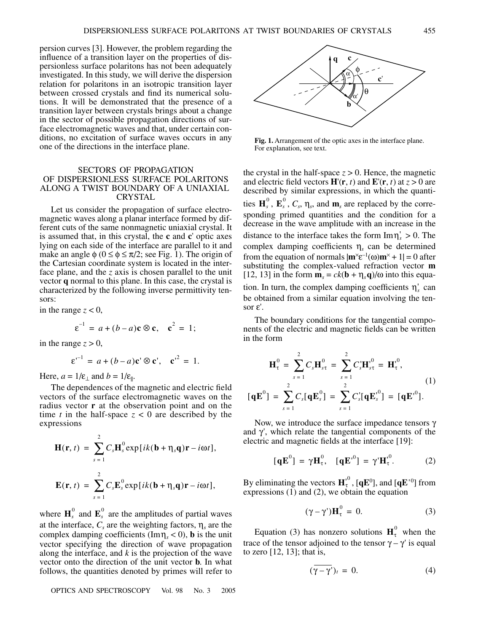persion curves [3]. However, the problem regarding the influence of a transition layer on the properties of dispersionless surface polaritons has not been adequately investigated. In this study, we will derive the dispersion relation for polaritons in an isotropic transition layer between crossed crystals and find its numerical solutions. It will be demonstrated that the presence of a transition layer between crystals brings about a change in the sector of possible propagation directions of surface electromagnetic waves and that, under certain conditions, no excitation of surface waves occurs in any one of the directions in the interface plane.

## SECTORS OF PROPAGATION OF DISPERSIONLESS SURFACE POLARITONS ALONG A TWIST BOUNDARY OF A UNIAXIAL CRYSTAL

Let us consider the propagation of surface electromagnetic waves along a planar interface formed by different cuts of the same nonmagnetic uniaxial crystal. It is assumed that, in this crystal, the **c** and **c**' optic axes lying on each side of the interface are parallel to it and make an angle  $\phi$  ( $0 \le \phi \le \pi/2$ ; see Fig. 1). The origin of the Cartesian coordinate system is located in the interface plane, and the *z* axis is chosen parallel to the unit vector **q** normal to this plane. In this case, the crystal is characterized by the following inverse permittivity tensors:

in the range  $z < 0$ ,

$$
\varepsilon^{-1} = a + (b - a)\mathbf{c} \otimes \mathbf{c}, \quad \mathbf{c}^2 = 1;
$$

in the range  $z > 0$ ,

$$
\varepsilon^{-1} = a + (b - a)\mathbf{c}' \otimes \mathbf{c}', \quad \mathbf{c'}^2 = 1.
$$

Here,  $a = 1/\varepsilon_{\perp}$  and  $b = 1/\varepsilon_{\parallel}$ .

The dependences of the magnetic and electric field vectors of the surface electromagnetic waves on the radius vector **r** at the observation point and on the time *t* in the half-space  $z < 0$  are described by the expressions

$$
\mathbf{H}(\mathbf{r},t) = \sum_{s=1}^{2} C_s \mathbf{H}_s^0 \exp[i k(\mathbf{b} + \eta_s \mathbf{q})\mathbf{r} - i\omega t],
$$
  

$$
\mathbf{E}(\mathbf{r},t) = \sum_{s=1}^{2} C_s \mathbf{E}_s^0 \exp[i k(\mathbf{b} + \eta_s \mathbf{q})\mathbf{r} - i\omega t],
$$

where  $\mathbf{H}_s^0$  and  $\mathbf{E}_s^0$  are the amplitudes of partial waves at the interface,  $C_s$  are the weighting factors,  $\eta_s$  are the complex damping coefficients ( $\text{Im}\eta_s < 0$ ), **b** is the unit vector specifying the direction of wave propagation along the interface, and *k* is the projection of the wave vector onto the direction of the unit vector **b**. In what follows, the quantities denoted by primes will refer to

OPTICS AND SPECTROSCOPY Vol. 98 No. 3 2005



**Fig. 1.** Arrangement of the optic axes in the interface plane. For explanation, see text.

the crystal in the half-space  $z > 0$ . Hence, the magnetic and electric field vectors  $\mathbf{H}'(\mathbf{r}, t)$  and  $\mathbf{E}'(\mathbf{r}, t)$  at  $z > 0$  are described by similar expressions, in which the quantities  $\mathbf{H}_s^0$ ,  $\mathbf{E}_s^0$ ,  $C_s$ ,  $\eta_s$ , and  $\mathbf{m}_s$  are replaced by the corresponding primed quantities and the condition for a decrease in the wave amplitude with an increase in the distance to the interface takes the form  $\text{Im} \eta_s$  > 0. The complex damping coefficients η*s* can be determined from the equation of normals  $|\mathbf{m}^{\times} \mathbf{c}^{-1}(\omega) \mathbf{m}^{\times} + 1| = 0$  after substituting the complex-valued refraction vector **m** [12, 13] in the form  $\mathbf{m}_s = ck(\mathbf{b} + \eta_s \mathbf{q})/\omega$  into this equation. In turn, the complex damping coefficients  $\eta_s^{\dagger}$  can be obtained from a similar equation involving the tensor ε'.

The boundary conditions for the tangential components of the electric and magnetic fields can be written in the form

$$
\mathbf{H}_{\tau}^{0} = \sum_{s=1}^{2} C_{s} \mathbf{H}_{s\tau}^{0} = \sum_{s=1}^{2} C_{s}^{3} \mathbf{H}_{s\tau}^{0} = \mathbf{H}_{\tau}^{0},
$$
\n
$$
[\mathbf{q} \mathbf{E}^{0}] = \sum_{s=1}^{2} C_{s} [\mathbf{q} \mathbf{E}_{s}^{0}] = \sum_{s=1}^{2} C_{s}^{1} [\mathbf{q} \mathbf{E}_{s}^{0}] = [\mathbf{q} \mathbf{E}^{0}].
$$
\n(1)

Now, we introduce the surface impedance tensors γ and  $\gamma'$ , which relate the tangential components of the electric and magnetic fields at the interface [19]:

$$
[\mathbf{q}\mathbf{E}^0] = \gamma \mathbf{H}_{\tau}^0, \quad [\mathbf{q}\mathbf{E}^{0} = \gamma \mathbf{H}_{\tau}^{0}.
$$
 (2)

By eliminating the vectors  $\mathbf{H}^{,0}_{\tau}$  , [ $\mathbf{q}\mathbf{E}^{0}$ ], and [ $\mathbf{q}\mathbf{E}^{,0}$ ] from expressions  $(1)$  and  $(2)$ , we obtain the equation

$$
(\gamma - \gamma')\mathbf{H}_{\tau}^{0} = 0. \tag{3}
$$

Equation (3) has nonzero solutions  $H_{\tau}^{0}$  when the trace of the tensor adjoined to the tensor  $\gamma - \gamma'$  is equal to zero [12, 13]; that is,

$$
(\overline{\gamma - \gamma'})_t = 0. \tag{4}
$$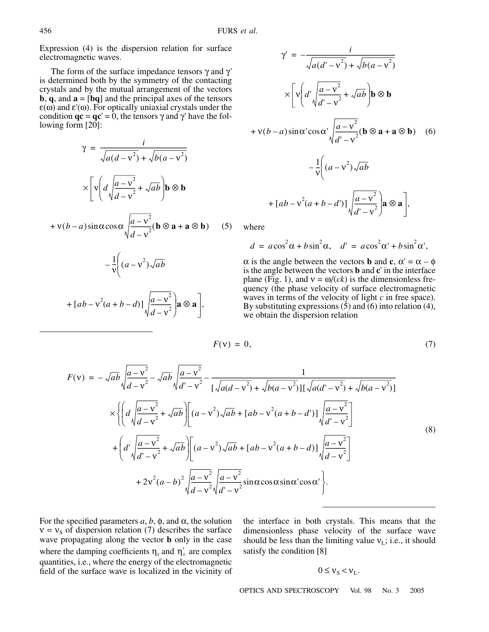Expression (4) is the dispersion relation for surface electromagnetic waves.

The form of the surface impedance tensors  $\gamma$  and  $\gamma'$ is determined both by the symmetry of the contacting crystals and by the mutual arrangement of the vectors **b**, **q**, and **a** = [**bq**] and the principal axes of the tensors  $\varepsilon(\omega)$  and  $\varepsilon'(\omega)$ . For optically uniaxial crystals under the condition  $\mathbf{qc} = \mathbf{qc'} = \mathbf{0}$ , the tensors  $\gamma$  and  $\gamma'$  have the following form [20]:

$$
\gamma = \frac{i}{\sqrt{a(d-v^2)} + \sqrt{b(a-v^2)}}
$$

$$
\times \left[ \mathbf{v} \left( d \sqrt{\frac{a-v^2}{d-v^2}} + \sqrt{ab} \right) \mathbf{b} \otimes \mathbf{b} \right]
$$

$$
+v(b-a)\sin\alpha\cos\alpha\sqrt{\frac{a-v^2}{d-v^2}}(\mathbf{b}\otimes\mathbf{a}+\mathbf{a}\otimes\mathbf{b})\qquad(5)
$$

$$
-\frac{1}{v}\left((a-v^2)\sqrt{ab}\right)
$$

$$
+ [ab - v2(a+b-d)] \sqrt{\frac{a - v2}{d - v2}} a \otimes a],
$$

$$
\gamma' = -\frac{i}{\sqrt{a(d' - v^2)} + \sqrt{b(a - v^2)}}
$$
  
\n
$$
\times \left[ \nu \left( d' \sqrt{\frac{a - v^2}{d' - v^2}} + \sqrt{ab} \right) \mathbf{b} \otimes \mathbf{b} \right]
$$
  
\n
$$
+ \nu (b - a) \sin \alpha' \cos \alpha' \sqrt{\frac{a - v^2}{d' - v^2}} (\mathbf{b} \otimes \mathbf{a} + \mathbf{a} \otimes \mathbf{b})
$$
 (6)  
\n
$$
- \frac{1}{\nu} \left( (a - v^2) \sqrt{ab} \right)
$$
  
\n
$$
+ [ab - v^2 (a + b - d')] \sqrt{\frac{a - v^2}{d' - v^2}} \mathbf{a} \otimes \mathbf{a} \right],
$$

where

$$
d = a\cos^2\alpha + b\sin^2\alpha, \quad d' = a\cos^2\alpha' + b\sin^2\alpha',
$$

 $\alpha$  is the angle between the vectors **b** and **c**,  $\alpha' = \alpha - \phi$ is the angle between the vectors **b** and **c**' in the interface plane (Fig. 1), and  $v = \omega/(ck)$  is the dimensionless frequency (the phase velocity of surface electromagnetic waves in terms of the velocity of light *c* in free space). By substituting expressions (5) and (6) into relation (4), we obtain the dispersion relation

$$
F(v) = 0,\t\t(7)
$$

$$
F(v) = -\sqrt{ab} \sqrt{\frac{a - v^2}{d - v^2}} - \sqrt{ab} \sqrt{\frac{a - v^2}{d' - v^2}} - \frac{1}{[\sqrt{a(d - v^2)} + \sqrt{b(a - v^2)}][\sqrt{a(d' - v^2)} + \sqrt{b(a - v^2)}]}
$$
  

$$
\times \left\{ \left( d \sqrt{\frac{a - v^2}{d - v^2}} + \sqrt{ab} \right) \left[ (a - v^2) \sqrt{ab} + [ab - v^2(a + b - d')] \sqrt{\frac{a - v^2}{d' - v^2}} \right] + \left( d' \sqrt{\frac{a - v^2}{d' - v^2}} + \sqrt{ab} \right) \left[ (a - v^2) \sqrt{ab} + [ab - v^2(a + b - d)] \sqrt{\frac{a - v^2}{d - v^2}} \right]
$$
  

$$
+ 2v^2(a - b)^2 \sqrt{\frac{a - v^2}{d - v^2}} \sqrt{\frac{a - v^2}{d' - v^2}} \sin \alpha \cos \alpha \sin \alpha \cos \alpha \cdot \right\}.
$$
  
(8)

For the specified parameters  $a, b, \phi$ , and  $\alpha$ , the solution  $v = v<sub>s</sub>$  of dispersion relation (7) describes the surface wave propagating along the vector **b** only in the case where the damping coefficients  $\eta_s$  and  $\eta'_s$  are complex quantities, i.e., where the energy of the electromagnetic field of the surface wave is localized in the vicinity of the interface in both crystals. This means that the dimensionless phase velocity of the surface wave should be less than the limiting value  $v_L$ ; i.e., it should satisfy the condition [8]

$$
0 \leq v_{\rm S} < v_{\rm L}.
$$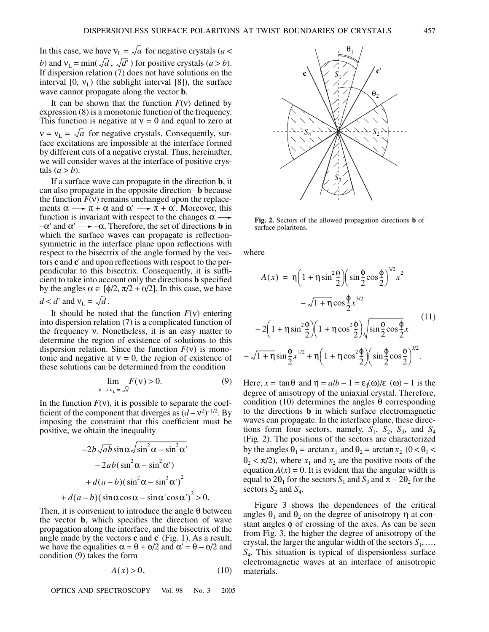In this case, we have  $v_L = \sqrt{a}$  for negative crystals (*a* < *b*) and  $v_L = \min(\sqrt{d}, \sqrt{d'})$  for positive crystals  $(a > b)$ . If dispersion relation (7) does not have solutions on the interval  $[0, v_L)$  (the sublight interval  $[8]$ ), the surface wave cannot propagate along the vector **b**.

It can be shown that the function  $F(y)$  defined by expression (8) is a monotonic function of the frequency. This function is negative at  $v = 0$  and equal to zero at  $v = v_L = \sqrt{a}$  for negative crystals. Consequently, surface excitations are impossible at the interface formed by different cuts of a negative crystal. Thus, hereinafter, we will consider waves at the interface of positive crystals  $(a > b)$ .

If a surface wave can propagate in the direction **b**, it can also propagate in the opposite direction –**b** because the function  $F(v)$  remains unchanged upon the replacements  $\alpha \longrightarrow \pi + \alpha$  and  $\alpha' \longrightarrow \pi + \alpha'$ . Moreover, this function is invariant with respect to the changes  $\alpha \rightarrow$  $-\alpha'$  and  $\alpha' \longrightarrow -\alpha$ . Therefore, the set of directions **b** in which the surface waves can propagate is reflectionsymmetric in the interface plane upon reflections with respect to the bisectrix of the angle formed by the vectors **c** and **c**' and upon reflections with respect to the perpendicular to this bisectrix. Consequently, it is sufficient to take into account only the directions **b** specified by the angles  $\alpha \in [\phi/2, \pi/2 + \phi/2]$ . In this case, we have  $d < d'$  and  $v_L = \sqrt{d}$ .

It should be noted that the function *F*(ν) entering into dispersion relation (7) is a complicated function of the frequency ν. Nonetheless, it is an easy matter to determine the region of existence of solutions to this dispersion relation. Since the function  $F(v)$  is monotonic and negative at  $v = 0$ , the region of existence of these solutions can be determined from the condition

$$
\lim_{\mathbf{v} \to \mathbf{v}_L = \sqrt{d}} F(\mathbf{v}) > 0. \tag{9}
$$

In the function  $F(v)$ , it is possible to separate the coefficient of the component that diverges as  $(d - v^2)^{-1/2}$ . By imposing the constraint that this coefficient must be positive, we obtain the inequality

$$
-2b\sqrt{ab}\sin\alpha\sqrt{\sin^2\alpha - \sin^2\alpha'}
$$

$$
-2ab(\sin^2\alpha - \sin^2\alpha')
$$

$$
+ d(a-b)(\sin^2\alpha - \sin^2\alpha')^2
$$

$$
+ d(a-b)(\sin\alpha\cos\alpha - \sin\alpha'\cos\alpha')^2 > 0.
$$

Then, it is convenient to introduce the angle  $\theta$  between the vector **b**, which specifies the direction of wave propagation along the interface, and the bisectrix of the angle made by the vectors **c** and **c**' (Fig. 1). As a result, we have the equalities  $\alpha = \theta + \phi/2$  and  $\alpha' = \theta - \phi/2$  and condition (9) takes the form

$$
A(x) > 0,\tag{10}
$$

OPTICS AND SPECTROSCOPY Vol. 98 No. 3 2005



**Fig. 2.** Sectors of the allowed propagation directions **b** of surface polaritons.

where

$$
A(x) = \eta \left( 1 + \eta \sin^2 \frac{\phi}{2} \right) \left( \sin \frac{\phi}{2} \cos \frac{\phi}{2} \right)^{3/2} x^2
$$

$$
- \sqrt{1 + \eta} \cos \frac{\phi}{2} x^{3/2}
$$

$$
- 2 \left( 1 + \eta \sin^2 \frac{\phi}{2} \right) \left( 1 + \eta \cos^2 \frac{\phi}{2} \right) \sqrt{\sin \frac{\phi}{2} \cos \frac{\phi}{2}} x
$$

$$
- \sqrt{1 + \eta} \sin \frac{\phi}{2} x^{1/2} + \eta \left( 1 + \eta \cos^2 \frac{\phi}{2} \right) \left( \sin \frac{\phi}{2} \cos \frac{\phi}{2} \right)^{3/2}.
$$

$$
(11)
$$

Here,  $x = \tan \theta$  and  $\eta = a/b - 1 = \varepsilon_{\parallel}(\omega)/\varepsilon_{\perp}(\omega) - 1$  is the degree of anisotropy of the uniaxial crystal. Therefore, condition (10) determines the angles θ corresponding to the directions **b** in which surface electromagnetic waves can propagate. In the interface plane, these directions form four sectors, namely,  $S_1$ ,  $S_2$ ,  $S_3$ , and  $S_4$ (Fig. 2). The positions of the sectors are characterized by the angles  $\theta_1 = \arctan x_1$  and  $\theta_2 = \arctan x_2$  ( $0 < \theta_1 <$  $\theta_2 < \pi/2$ ), where  $x_1$  and  $x_2$  are the positive roots of the equation  $A(x) = 0$ . It is evident that the angular width is equal to  $2\theta_1$  for the sectors  $S_1$  and  $S_3$  and  $\pi - 2\theta_2$  for the sectors  $S_2$  and  $S_4$ .

Figure 3 shows the dependences of the critical angles  $\theta_1$  and  $\theta_2$  on the degree of anisotropy  $\eta$  at constant angles  $\phi$  of crossing of the axes. As can be seen from Fig. 3, the higher the degree of anisotropy of the crystal, the larger the angular width of the sectors  $S_1, \ldots, S_k$ *S*4. This situation is typical of dispersionless surface electromagnetic waves at an interface of anisotropic materials.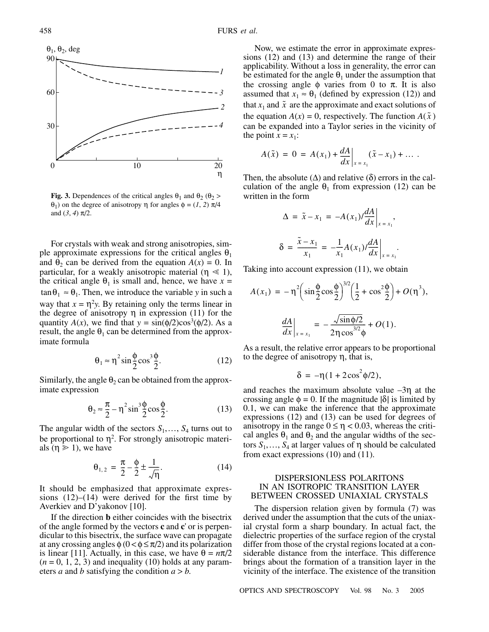

**Fig. 3.** Dependences of the critical angles  $\theta_1$  and  $\theta_2$  ( $\theta_2$ ) θ1) on the degree of anisotropy η for angles φ = (*1*, *2*) π/4 and  $(3, 4)$   $\pi/2$ .

For crystals with weak and strong anisotropies, simple approximate expressions for the critical angles  $\theta_1$ and  $\theta_2$  can be derived from the equation  $A(x) = 0$ . In particular, for a weakly anisotropic material ( $\eta \ll 1$ ), the critical angle  $\theta_1$  is small and, hence, we have  $x =$  $\tan \theta_1 \approx \theta_1$ . Then, we introduce the variable *y* in such a way that  $x = \eta^2 y$ . By retaining only the terms linear in the degree of anisotropy  $η$  in expression (11) for the quantity  $A(x)$ , we find that  $y = sin(\phi/2)cos^3(\phi/2)$ . As a result, the angle  $\theta_1$  can be determined from the approximate formula

$$
\theta_1 \approx \eta^2 \sin \frac{\phi}{2} \cos^3 \frac{\phi}{2}.
$$
 (12)

Similarly, the angle  $\theta_2$  can be obtained from the approximate expression

$$
\theta_2 \approx \frac{\pi}{2} - \eta^2 \sin^3 \frac{\phi}{2} \cos \frac{\phi}{2}.
$$
 (13)

The angular width of the sectors  $S_1, \ldots, S_4$  turns out to be proportional to  $\eta^2$ . For strongly anisotropic materials ( $\eta \ge 1$ ), we have

$$
\theta_{1,2} = \frac{\pi}{2} - \frac{\phi}{2} \pm \frac{1}{\sqrt{\eta}}.
$$
 (14)

It should be emphasized that approximate expressions  $(12)$ – $(14)$  were derived for the first time by Averkiev and D'yakonov [10].

If the direction **b** either coincides with the bisectrix of the angle formed by the vectors **c** and **c**' or is perpendicular to this bisectrix, the surface wave can propagate at any crossing angles  $\phi$  ( $0 < \phi \leq \pi/2$ ) and its polarization is linear [11]. Actually, in this case, we have  $\theta = n\pi/2$  $(n = 0, 1, 2, 3)$  and inequality (10) holds at any parameters *a* and *b* satisfying the condition  $a > b$ .

Now, we estimate the error in approximate expressions (12) and (13) and determine the range of their applicability. Without a loss in generality, the error can be estimated for the angle  $\theta_1$  under the assumption that the crossing angle  $\phi$  varies from 0 to  $\pi$ . It is also assumed that  $x_1 \approx \theta_1$  (defined by expression (12)) and that  $x_1$  and  $\tilde{x}$  are the approximate and exact solutions of the equation  $A(x) = 0$ , respectively. The function  $A(\tilde{x})$ can be expanded into a Taylor series in the vicinity of the point  $\hat{x} = x_1$ :

$$
A(\tilde{x}) = 0 = A(x_1) + \frac{dA}{dx}\bigg|_{x = x_1} (\tilde{x} - x_1) + \dots
$$

Then, the absolute  $(\Delta)$  and relative  $(\delta)$  errors in the calculation of the angle  $\theta_1$  from expression (12) can be written in the form

$$
\Delta = \tilde{x} - x_1 = -A(x_1) / \frac{dA}{dx} \Big|_{x = x_1},
$$
  

$$
\delta = \frac{\tilde{x} - x_1}{x_1} = -\frac{1}{x_1} A(x_1) / \frac{dA}{dx} \Big|_{x = x_1}.
$$

Taking into account expression (11), we obtain

$$
A(x_1) = -\eta^2 \left( \sin \frac{\phi}{2} \cos \frac{\phi}{2} \right)^{3/2} \left( \frac{1}{2} + \cos^2 \frac{\phi}{2} \right) + O(\eta^3),
$$

$$
\frac{dA}{dx}\Big|_{x = x_1} = -\frac{\sqrt{\sin \phi/2}}{2\eta \cos^{3/2} \phi} + O(1).
$$

As a result, the relative error appears to be proportional to the degree of anisotropy η, that is,

$$
\delta = -\eta (1 + 2\cos^2 \phi/2),
$$

and reaches the maximum absolute value  $-3\eta$  at the crossing angle  $\phi = 0$ . If the magnitude  $|\delta|$  is limited by 0.1, we can make the inference that the approximate expressions (12) and (13) can be used for degrees of anisotropy in the range  $0 \le \eta < 0.03$ , whereas the critical angles  $\theta_1$  and  $\theta_2$  and the angular widths of the sectors  $S_1, \ldots, S_4$  at larger values of η should be calculated from exact expressions (10) and (11).

## DISPERSIONLESS POLARITONS IN AN ISOTROPIC TRANSITION LAYER BETWEEN CROSSED UNIAXIAL CRYSTALS

The dispersion relation given by formula (7) was derived under the assumption that the cuts of the uniaxial crystal form a sharp boundary. In actual fact, the dielectric properties of the surface region of the crystal differ from those of the crystal regions located at a considerable distance from the interface. This difference brings about the formation of a transition layer in the vicinity of the interface. The existence of the transition

OPTICS AND SPECTROSCOPY Vol. 98 No. 3 2005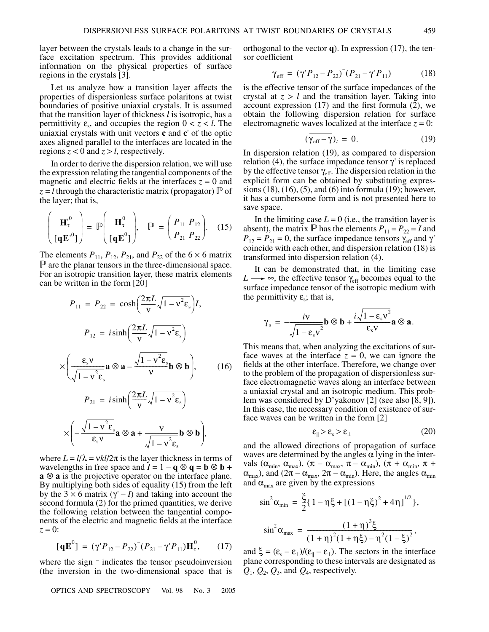layer between the crystals leads to a change in the surface excitation spectrum. This provides additional information on the physical properties of surface regions in the crystals [3].

Let us analyze how a transition layer affects the properties of dispersionless surface polaritons at twist boundaries of positive uniaxial crystals. It is assumed that the transition layer of thickness *l* is isotropic, has a permittivity  $\varepsilon_s$ , and occupies the region  $0 < z < l$ . The uniaxial crystals with unit vectors **c** and **c**' of the optic axes aligned parallel to the interfaces are located in the regions  $z < 0$  and  $z > l$ , respectively.

In order to derive the dispersion relation, we will use the expression relating the tangential components of the magnetic and electric fields at the interfaces  $z = 0$  and  $z = l$  through the characteristic matrix (propagator)  $\mathbb P$  of the layer; that is,

$$
\begin{pmatrix} \mathbf{H}_{\tau}^{0} \\ \left[\mathbf{q}\mathbf{E}^{0}\right] \end{pmatrix} = \mathbb{P} \begin{pmatrix} \mathbf{H}_{\tau}^{0} \\ \left[\mathbf{q}\mathbf{E}^{0}\right] \end{pmatrix}, \quad \mathbb{P} = \begin{pmatrix} P_{11} & P_{12} \\ P_{21} & P_{22} \end{pmatrix}. \quad (15)
$$

The elements  $P_{11}$ ,  $P_{12}$ ,  $P_{21}$ , and  $P_{22}$  of the 6  $\times$  6 matrix  $\mathbb P$  are the planar tensors in the three-dimensional space. For an isotropic transition layer, these matrix elements can be written in the form [20]

$$
P_{11} = P_{22} = \cosh\left(\frac{2\pi L}{v}\sqrt{1 - v^2 \epsilon_s}\right)I,
$$
\n
$$
P_{12} = i\sinh\left(\frac{2\pi L}{v}\sqrt{1 - v^2 \epsilon_s}\right)
$$
\n
$$
\times \left(\frac{\epsilon_s v}{\sqrt{1 - v^2 \epsilon_s}} \mathbf{a} \otimes \mathbf{a} - \frac{\sqrt{1 - v^2 \epsilon_s}}{v} \mathbf{b} \otimes \mathbf{b}\right), \qquad (16)
$$

$$
P_{21} = i \sinh\left(\frac{2\pi L}{v}\sqrt{1 - v^2 \varepsilon_s}\right)
$$

$$
\times \left(-\frac{\sqrt{1 - v^2 \varepsilon_s}}{\varepsilon_s v} \mathbf{a} \otimes \mathbf{a} + \frac{v}{\sqrt{1 - v^2 \varepsilon_s}} \mathbf{b} \otimes \mathbf{b}\right),
$$

where  $L = l/\lambda = vkl/2\pi$  is the layer thickness in terms of wavelengths in free space and  $I = 1 - \mathbf{q} \otimes \mathbf{q} = \mathbf{b} \otimes \mathbf{b} + \mathbf{b} \otimes \mathbf{b}$ **a** ⊗ **a** is the projective operator on the interface plane. By multiplying both sides of equality (15) from the left by the  $3 \times 6$  matrix  $(\gamma - I)$  and taking into account the second formula (2) for the primed quantities, we derive the following relation between the tangential components of the electric and magnetic fields at the interface  $z = 0$ :

$$
[\mathbf{q}\mathbf{E}^0] = (\gamma' P_{12} - P_{22})^-(P_{21} - \gamma' P_{11})\mathbf{H}_\tau^0, \qquad (17)
$$

where the sign – indicates the tensor pseudoinversion (the inversion in the two-dimensional space that is

OPTICS AND SPECTROSCOPY Vol. 98 No. 3 2005

orthogonal to the vector **q**). In expression (17), the tensor coefficient

$$
\gamma_{\rm eff} = (\gamma' P_{12} - P_{22})^-(P_{21} - \gamma' P_{11}) \tag{18}
$$

is the effective tensor of the surface impedances of the crystal at  $z > l$  and the transition layer. Taking into account expression (17) and the first formula (2), we obtain the following dispersion relation for surface electromagnetic waves localized at the interface  $z = 0$ :

$$
(\gamma_{\rm eff} - \gamma)_t = 0. \tag{19}
$$

In dispersion relation (19), as compared to dispersion relation (4), the surface impedance tensor  $γ'$  is replaced by the effective tensor  $\gamma_{\text{eff}}$ . The dispersion relation in the explicit form can be obtained by substituting expressions (18), (16), (5), and (6) into formula (19); however, it has a cumbersome form and is not presented here to save space.

In the limiting case  $L = 0$  (i.e., the transition layer is absent), the matrix  $\mathbb{P}$  has the elements  $P_{11} = P_{22} = I$  and  $P_{12} = P_{21} = 0$ , the surface impedance tensors  $\gamma_{\text{eff}}$  and  $\gamma'$ coincide with each other, and dispersion relation (18) is transformed into dispersion relation (4).

It can be demonstrated that, in the limiting case  $L \longrightarrow \infty$ , the effective tensor  $\gamma_{\text{eff}}$  becomes equal to the surface impedance tensor of the isotropic medium with the permittivity  $\varepsilon$ ; that is,

$$
\gamma_{s} = -\frac{i\nu}{\sqrt{1-\epsilon_{s}v^{2}}} \mathbf{b} \otimes \mathbf{b} + \frac{i\sqrt{1-\epsilon_{s}v^{2}}}{\epsilon_{s}v} \mathbf{a} \otimes \mathbf{a}.
$$

This means that, when analyzing the excitations of surface waves at the interface  $z = 0$ , we can ignore the fields at the other interface. Therefore, we change over to the problem of the propagation of dispersionless surface electromagnetic waves along an interface between a uniaxial crystal and an isotropic medium. This problem was considered by D'yakonov [2] (see also [8, 9]). In this case, the necessary condition of existence of surface waves can be written in the form [2]

$$
\varepsilon_{\parallel} > \varepsilon_{\rm s} > \varepsilon_{\perp} \tag{20}
$$

and the allowed directions of propagation of surface waves are determined by the angles  $\alpha$  lying in the intervals ( $\alpha_{\min}$ ,  $\alpha_{\max}$ ), ( $\pi - \alpha_{\max}$ ,  $\pi - \alpha_{\min}$ ), ( $\pi + \alpha_{\min}$ ,  $\pi +$  $\alpha_{\text{max}}$ ), and  $(2\pi - \alpha_{\text{max}}, 2\pi - \alpha_{\text{min}})$ . Here, the angles  $\alpha_{\text{min}}$ and  $\alpha_{\text{max}}$  are given by the expressions

$$
\sin^2 \alpha_{\min} = \frac{\xi}{2} \{ 1 - \eta \xi + \left[ (1 - \eta \xi)^2 + 4 \eta \right]^{1/2} \},\
$$

$$
\sin^2 \alpha_{\max} = \frac{(1 + \eta)^3 \xi}{(1 + \eta)^2 (1 + \eta \xi) - \eta^2 (1 - \xi)^2},\
$$

and  $\xi = (\varepsilon_s - \varepsilon_{\perp})/(\varepsilon_{\parallel} - \varepsilon_{\perp})$ . The sectors in the interface plane corresponding to these intervals are designated as  $Q_1$ ,  $Q_2$ ,  $Q_3$ , and  $Q_4$ , respectively.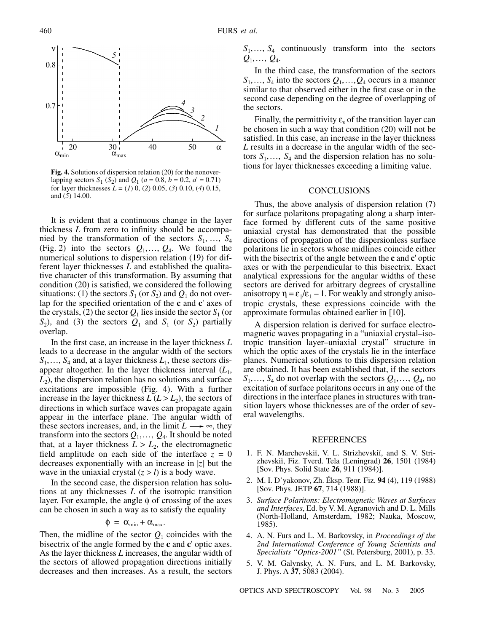

**Fig. 4.** Solutions of dispersion relation (20) for the nonoverlapping sectors  $S_1$  ( $S_2$ ) and  $Q_1$  ( $a = 0.8$ ,  $b = 0.2$ ,  $a' = 0.71$ ) for layer thicknesses *L* = (*1*) 0, (*2*) 0.05, (*3*) 0.10, (*4*) 0.15, and (*5*) 14.00.

It is evident that a continuous change in the layer thickness *L* from zero to infinity should be accompanied by the transformation of the sectors  $S_1, \ldots, S_4$ (Fig. 2) into the sectors  $Q_1, \ldots, Q_4$ . We found the numerical solutions to dispersion relation (19) for different layer thicknesses *L* and established the qualitative character of this transformation. By assuming that condition (20) is satisfied, we considered the following situations: (1) the sectors  $S_1$  (or  $S_2$ ) and  $Q_1$  do not overlap for the specified orientation of the **c** and **c**' axes of the crystals, (2) the sector  $Q_1$  lies inside the sector  $S_1$  (or  $S_2$ ), and (3) the sectors  $Q_1$  and  $S_1$  (or  $S_2$ ) partially overlap.

In the first case, an increase in the layer thickness *L* leads to a decrease in the angular width of the sectors  $S_1, \ldots, S_4$  and, at a layer thickness  $L_1$ , these sectors disappear altogether. In the layer thickness interval  $(L_1,$  $L<sub>2</sub>$ ), the dispersion relation has no solutions and surface excitations are impossible (Fig. 4). With a further increase in the layer thickness  $L (L > L<sub>2</sub>)$ , the sectors of directions in which surface waves can propagate again appear in the interface plane. The angular width of these sectors increases, and, in the limit  $L \rightarrow \infty$ , they transform into the sectors  $Q_1, \ldots, Q_4$ . It should be noted that, at a layer thickness  $L > L_2$ , the electromagnetic field amplitude on each side of the interface  $z = 0$ decreases exponentially with an increase in |*z*| but the wave in the uniaxial crystal  $(z > l)$  is a body wave.

In the second case, the dispersion relation has solutions at any thicknesses *L* of the isotropic transition layer. For example, the angle  $\phi$  of crossing of the axes can be chosen in such a way as to satisfy the equality

$$
\Phi = \alpha_{\min} + \alpha_{\max}.
$$

Then, the midline of the sector  $Q_1$  coincides with the bisectrix of the angle formed by the **c** and **c**' optic axes. As the layer thickness *L* increases, the angular width of the sectors of allowed propagation directions initially decreases and then increases. As a result, the sectors *S*1,…, *S*4 continuously transform into the sectors *Q*1,…, *Q*4.

In the third case, the transformation of the sectors  $S_1, \ldots, S_4$  into the sectors  $Q_1, \ldots, Q_4$  occurs in a manner similar to that observed either in the first case or in the second case depending on the degree of overlapping of the sectors.

Finally, the permittivity  $\varepsilon$  of the transition layer can be chosen in such a way that condition (20) will not be satisfied. In this case, an increase in the layer thickness *L* results in a decrease in the angular width of the sectors  $S_1, \ldots, S_4$  and the dispersion relation has no solutions for layer thicknesses exceeding a limiting value.

### **CONCLUSIONS**

Thus, the above analysis of dispersion relation (7) for surface polaritons propagating along a sharp interface formed by different cuts of the same positive uniaxial crystal has demonstrated that the possible directions of propagation of the dispersionless surface polaritons lie in sectors whose midlines coincide either with the bisectrix of the angle between the **c** and **c**' optic axes or with the perpendicular to this bisectrix. Exact analytical expressions for the angular widths of these sectors are derived for arbitrary degrees of crystalline anisotropy  $\eta = \varepsilon_{\parallel}/\varepsilon_{\perp} - 1$ . For weakly and strongly anisotropic crystals, these expressions coincide with the approximate formulas obtained earlier in [10].

A dispersion relation is derived for surface electromagnetic waves propagating in a "uniaxial crystal–isotropic transition layer–uniaxial crystal" structure in which the optic axes of the crystals lie in the interface planes. Numerical solutions to this dispersion relation are obtained. It has been established that, if the sectors  $S_1, \ldots, S_4$  do not overlap with the sectors  $Q_1, \ldots, Q_4$ , no excitation of surface polaritons occurs in any one of the directions in the interface planes in structures with transition layers whose thicknesses are of the order of several wavelengths.

#### REFERENCES

- 1. F. N. Marchevskiı̆, V. L. Strizhevskiı̆, and S. V. Strizhevskiĭ, Fiz. Tverd. Tela (Leningrad) **26**, 1501 (1984) [Sov. Phys. Solid State **26**, 911 (1984)].
- 2. M. I. D'yakonov, Zh. Éksp. Teor. Fiz. **94** (4), 119 (1988) [Sov. Phys. JETP **67**, 714 (1988)].
- 3. *Surface Polaritons: Electromagnetic Waves at Surfaces and Interfaces*, Ed. by V. M. Agranovich and D. L. Mills (North-Holland, Amsterdam, 1982; Nauka, Moscow, 1985).
- 4. A. N. Furs and L. M. Barkovsky, in *Proceedings of the 2nd International Conference of Young Scientists and Specialists "Optics-2001"* (St. Petersburg, 2001), p. 33.
- 5. V. M. Galynsky, A. N. Furs, and L. M. Barkovsky, J. Phys. A **37**, 5083 (2004).